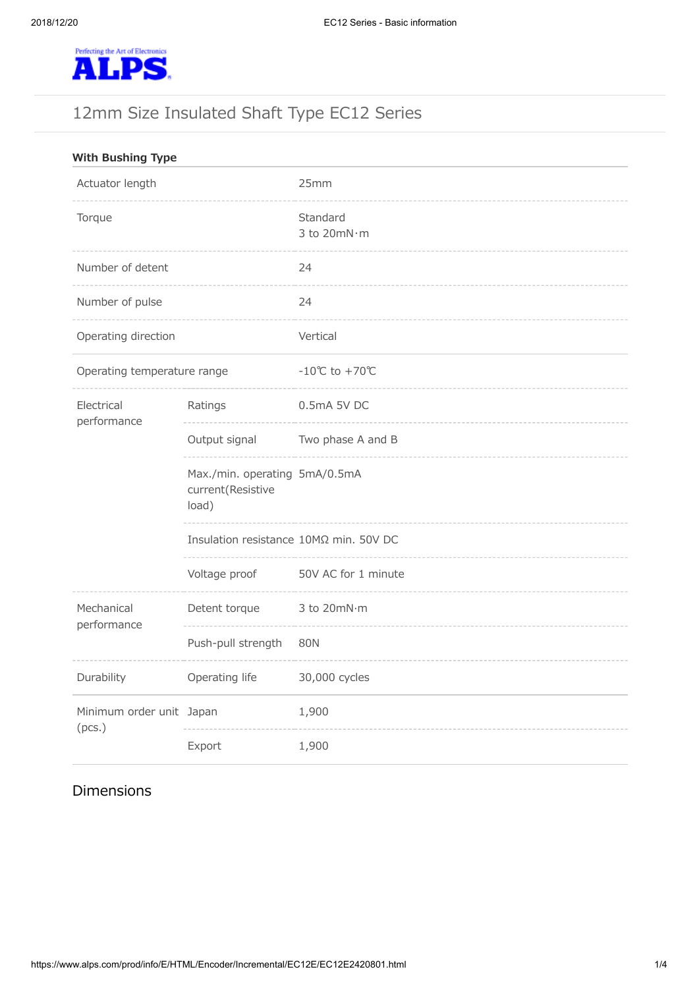

# 12mm Size Insulated Shaft Type EC12 Series

| <b>With Bushing Type</b>           |                                                             |                                     |
|------------------------------------|-------------------------------------------------------------|-------------------------------------|
| Actuator length                    |                                                             | 25mm                                |
| Torque                             |                                                             | Standard<br>3 to 20mN·m             |
| Number of detent                   |                                                             | 24                                  |
| Number of pulse                    |                                                             | 24                                  |
| Operating direction                |                                                             | Vertical                            |
| Operating temperature range        |                                                             | $-10^{\circ}$ C to +70 $^{\circ}$ C |
| Electrical<br>performance          | Ratings                                                     | 0.5mA 5V DC                         |
|                                    | Output signal                                               | Two phase A and B                   |
|                                    | Max./min. operating 5mA/0.5mA<br>current(Resistive<br>load) |                                     |
|                                    | Insulation resistance 10ΜΩ min. 50V DC                      |                                     |
|                                    | Voltage proof                                               | 50V AC for 1 minute                 |
| Mechanical<br>performance          | Detent torque                                               | 3 to 20mN·m                         |
|                                    | Push-pull strength                                          | <b>80N</b>                          |
| Durability                         | Operating life                                              | 30,000 cycles                       |
| Minimum order unit Japan<br>(pcs.) |                                                             | 1,900                               |
|                                    | Export                                                      | 1,900                               |

# Dimensions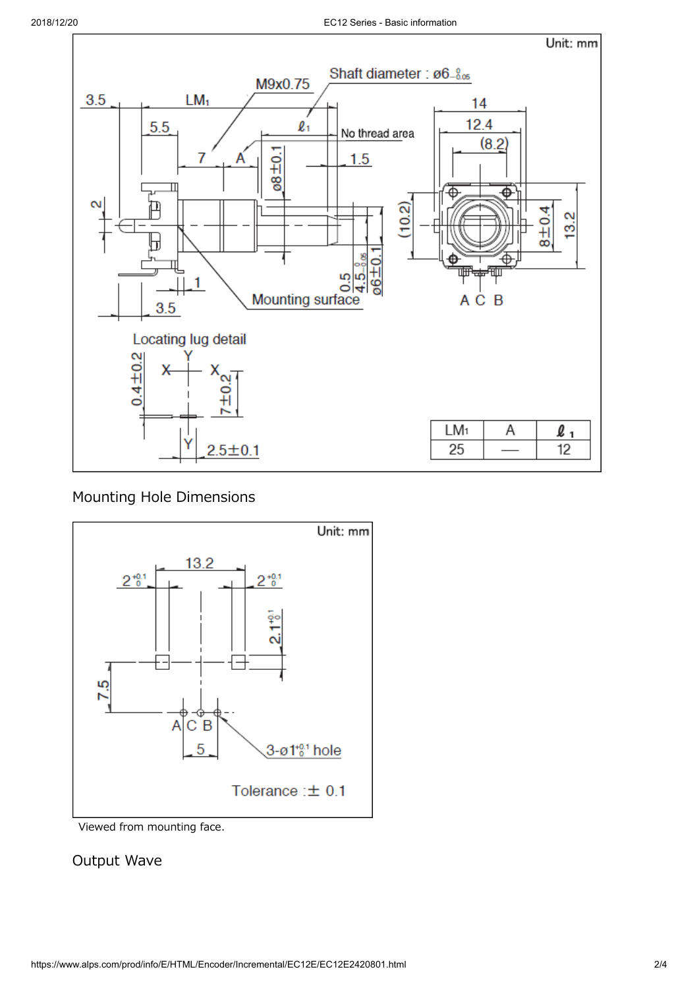

# Mounting Hole Dimensions



Viewed from mounting face.

## Output Wave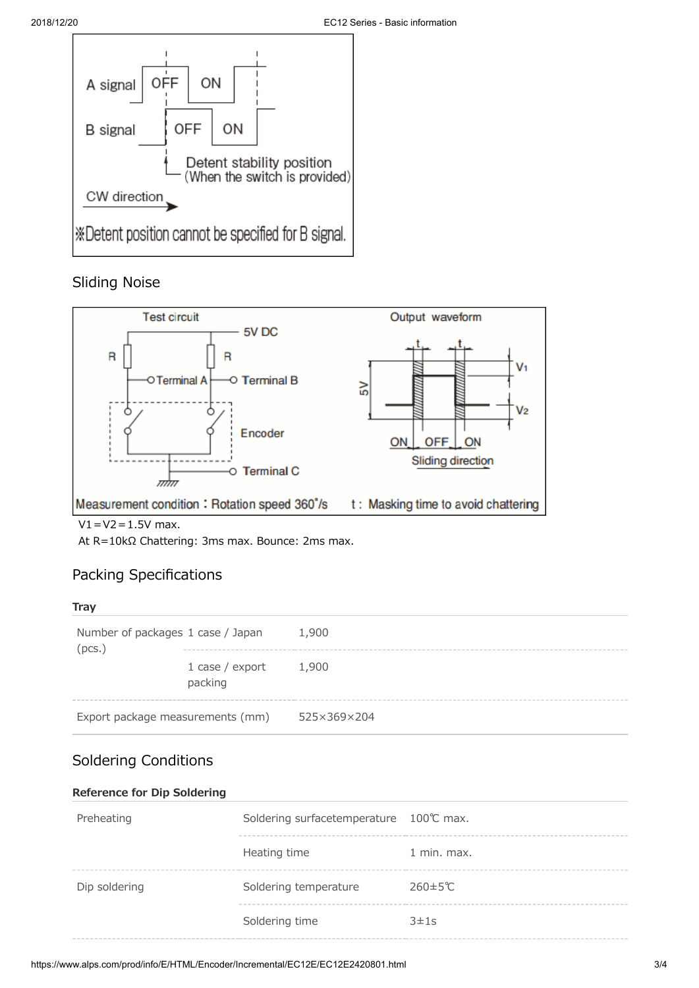

## Sliding Noise



 $V1 = V2 = 1.5V$  max.

At R=10kΩ Chattering: 3ms max. Bounce: 2ms max.

## Packing Specifications

#### **Tray**

| Number of packages 1 case / Japan<br>(pcs.) |                              | 1,900       |
|---------------------------------------------|------------------------------|-------------|
|                                             | 1 case $/$ export<br>packing | 1,900       |
| Export package measurements (mm)            |                              | 525×369×204 |

# Soldering Conditions

### **Reference for Dip Soldering**

| Preheating    | Soldering surfacetemperature 100℃ max. |                       |
|---------------|----------------------------------------|-----------------------|
|               | Heating time                           | $1$ min. max.         |
| Dip soldering | Soldering temperature                  | $260 \pm 5^{\circ}$ C |
|               | Soldering time                         | 3±1s                  |